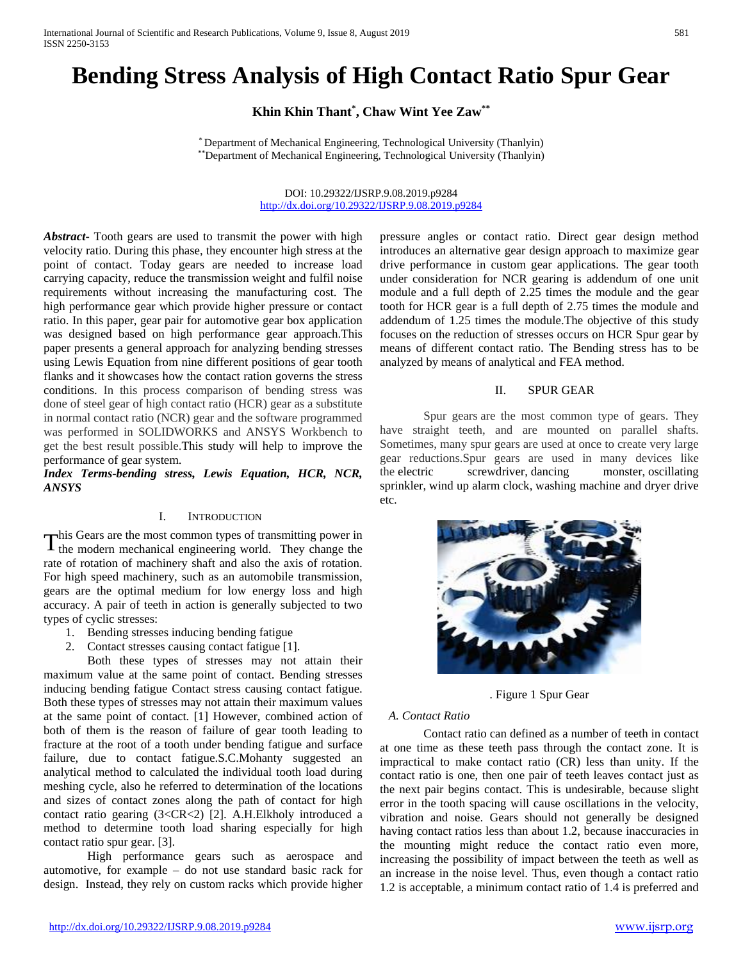# **Bending Stress Analysis of High Contact Ratio Spur Gear**

**Khin Khin Thant\* , Chaw Wint Yee Zaw\*\***

\* Department of Mechanical Engineering, Technological University (Thanlyin) \*\*Department of Mechanical Engineering, Technological University (Thanlyin)

> DOI: 10.29322/IJSRP.9.08.2019.p9284 <http://dx.doi.org/10.29322/IJSRP.9.08.2019.p9284>

*Abstract***-** Tooth gears are used to transmit the power with high velocity ratio. During this phase, they encounter high stress at the point of contact. Today gears are needed to increase load carrying capacity, reduce the transmission weight and fulfil noise requirements without increasing the manufacturing cost. The high performance gear which provide higher pressure or contact ratio. In this paper, gear pair for automotive gear box application was designed based on high performance gear approach.This paper presents a general approach for analyzing bending stresses using Lewis Equation from nine different positions of gear tooth flanks and it showcases how the contact ration governs the stress conditions. In this process comparison of bending stress was done of steel gear of high contact ratio (HCR) gear as a substitute in normal contact ratio (NCR) gear and the software programmed was performed in SOLIDWORKS and ANSYS Workbench to get the best result possible.This study will help to improve the performance of gear system.

*Index Terms-bending stress, Lewis Equation, HCR, NCR, ANSYS* 

## I. INTRODUCTION

This Gears are the most common types of transmitting power in  $T<sup>his</sup> Gears are the most common types of transmitting power in the modern mechanical engineering world. They change the$ rate of rotation of machinery shaft and also the axis of rotation. For high speed machinery, such as an automobile transmission, gears are the optimal medium for low energy loss and high accuracy. A pair of teeth in action is generally subjected to two types of cyclic stresses:

- 1. Bending stresses inducing bending fatigue
- 2. Contact stresses causing contact fatigue [1].

Both these types of stresses may not attain their maximum value at the same point of contact. Bending stresses inducing bending fatigue Contact stress causing contact fatigue. Both these types of stresses may not attain their maximum values at the same point of contact. [1] However, combined action of both of them is the reason of failure of gear tooth leading to fracture at the root of a tooth under bending fatigue and surface failure, due to contact fatigue.S.C.Mohanty suggested an analytical method to calculated the individual tooth load during meshing cycle, also he referred to determination of the locations and sizes of contact zones along the path of contact for high contact ratio gearing (3<CR<2) [2]. A.H.Elkholy introduced a method to determine tooth load sharing especially for high contact ratio spur gear. [3].

High performance gears such as aerospace and automotive, for example – do not use standard basic rack for design. Instead, they rely on custom racks which provide higher

<http://dx.doi.org/10.29322/IJSRP.9.08.2019.p9284> [www.ijsrp.org](http://ijsrp.org/)

pressure angles or contact ratio. Direct gear design method introduces an alternative gear design approach to maximize gear drive performance in custom gear applications. The gear tooth under consideration for NCR gearing is addendum of one unit module and a full depth of 2.25 times the module and the gear tooth for HCR gear is a full depth of 2.75 times the module and addendum of 1.25 times the module.The objective of this study focuses on the reduction of stresses occurs on HCR Spur gear by means of different contact ratio. The Bending stress has to be analyzed by means of analytical and FEA method.

#### II. SPUR GEAR

Spur gears are the most common type of gears. They have straight teeth, and are mounted on parallel shafts. Sometimes, many spur gears are used at once to create very large gear reductions.Spur gears are used in many devices like the [electric screwdriver,](https://science.howstuffworks.com/transport/engines-equipment/inside-sd.htm) [dancing monster,](https://science.howstuffworks.com/transport/engines-equipment/dancing-monster.htm) [oscillating](https://science.howstuffworks.com/transport/engines-equipment/sprinkler.htm)  [sprinkler,](https://science.howstuffworks.com/transport/engines-equipment/sprinkler.htm) [wind up alarm clock,](https://science.howstuffworks.com/transport/engines-equipment/inside-clock.htm) washing machine and dryer drive etc.



. Figure 1 Spur Gear

#### *A. Contact Ratio*

Contact ratio can defined as a number of teeth in contact at one time as these teeth pass through the contact zone. It is impractical to make contact ratio (CR) less than unity. If the contact ratio is one, then one pair of teeth leaves contact just as the next pair begins contact. This is undesirable, because slight error in the tooth spacing will cause oscillations in the velocity, vibration and noise. Gears should not generally be designed having contact ratios less than about 1.2, because inaccuracies in the mounting might reduce the contact ratio even more, increasing the possibility of impact between the teeth as well as an increase in the noise level. Thus, even though a contact ratio 1.2 is acceptable, a minimum contact ratio of 1.4 is preferred and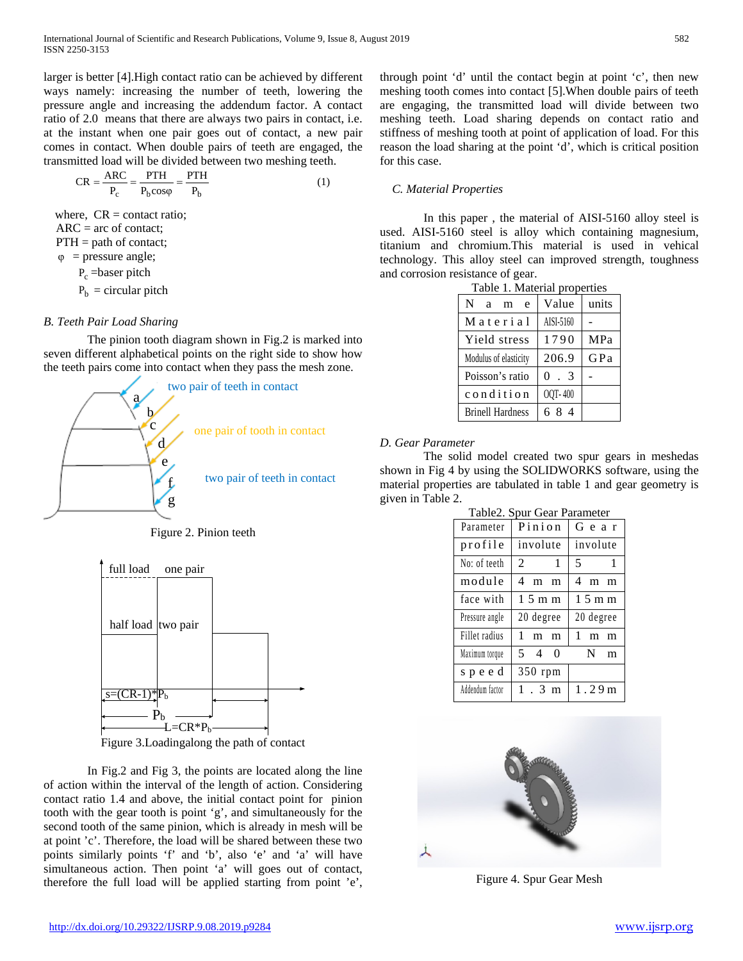larger is better [4].High contact ratio can be achieved by different ways namely: increasing the number of teeth, lowering the pressure angle and increasing the addendum factor. A contact ratio of 2.0 means that there are always two pairs in contact, i.e. at the instant when one pair goes out of contact, a new pair comes in contact. When double pairs of teeth are engaged, the transmitted load will be divided between two meshing teeth.

$$
CR = \frac{ARC}{P_c} = \frac{PTH}{P_b cos\varphi} = \frac{PTH}{P_b}
$$
 (1)

where,  $CR = \text{contact ratio}$ ;  $ARC = arc of contact;$  $PTH = path of contact;$  $\varphi$  = pressure angle;

P<sub>c</sub> = baser pitch

 $P_b$  = circular pitch

# *B. Teeth Pair Load Sharing*

The pinion tooth diagram shown in Fig.2 is marked into seven different alphabetical points on the right side to show how the teeth pairs come into contact when they pass the mesh zone.



Figure 2. Pinion teeth



Figure 3.Loadingalong the path of contact

In Fig.2 and Fig 3, the points are located along the line of action within the interval of the length of action. Considering contact ratio 1.4 and above, the initial contact point for pinion tooth with the gear tooth is point 'g', and simultaneously for the second tooth of the same pinion, which is already in mesh will be at point 'c'. Therefore, the load will be shared between these two points similarly points 'f' and 'b', also 'e' and 'a' will have simultaneous action. Then point 'a' will goes out of contact, therefore the full load will be applied starting from point 'e', through point 'd' until the contact begin at point 'c', then new meshing tooth comes into contact [5].When double pairs of teeth are engaging, the transmitted load will divide between two meshing teeth. Load sharing depends on contact ratio and stiffness of meshing tooth at point of application of load. For this reason the load sharing at the point 'd', which is critical position for this case.

## *C. Material Properties*

In this paper , the material of AISI-5160 alloy steel is used. AISI-5160 steel is alloy which containing magnesium, titanium and chromium.This material is used in vehical technology. This alloy steel can improved strength, toughness and corrosion resistance of gear.

| Table 1. Material properties |           |            |  |
|------------------------------|-----------|------------|--|
| N<br>e<br>a<br>m             | Value     | units      |  |
| Material                     | AISI-5160 |            |  |
| Yield stress                 | 1790      | <b>MPa</b> |  |
| Modulus of elasticity        | 206.9     | GPa        |  |
| Poisson's ratio              | $0 \t3$   |            |  |
| condition                    | OQT-400   |            |  |
| <b>Brinell Hardness</b>      | 684       |            |  |

# *D. Gear Parameter*

The solid model created two spur gears in meshedas shown in Fig 4 by using the SOLIDWORKS software, using the material properties are tabulated in table 1 and gear geometry is given in Table 2.

| Table2. Spur Gear Parameter |                         |                     |  |  |  |
|-----------------------------|-------------------------|---------------------|--|--|--|
| Parameter                   | Pinion                  | Gear                |  |  |  |
| profile                     | involute                | involute            |  |  |  |
| No: of teeth                | $2^{\circ}$<br>$\sim$ 1 | $\overline{1}$<br>5 |  |  |  |
| module                      | 4<br>m<br>m             | 4<br>m<br>m         |  |  |  |
| face with                   | $1.5$ m m               | $1.5$ m m           |  |  |  |
| Pressure angle              | 20 degree               | 20 degree           |  |  |  |
| Fillet radius               | 1<br>m<br>m             | 1<br>m<br>m         |  |  |  |
| Maximum torque              | 5 4 0                   | N<br>m              |  |  |  |
| speed                       | 350 rpm                 |                     |  |  |  |
| Addendum factor             | 1.3 m                   | 1.29m               |  |  |  |



Figure 4. Spur Gear Mesh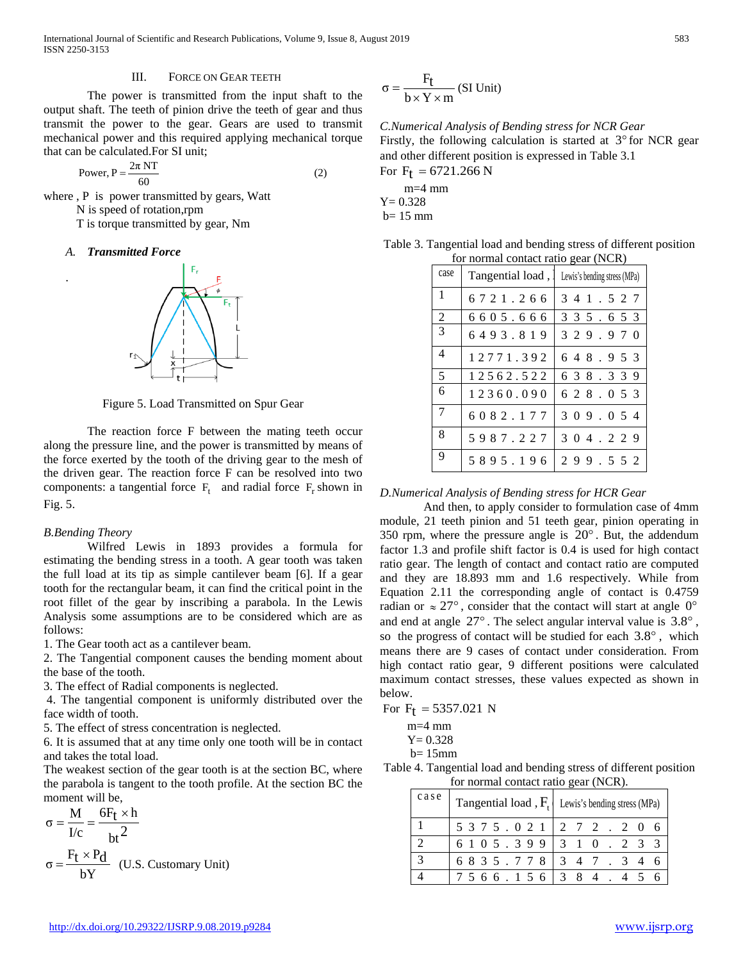International Journal of Scientific and Research Publications, Volume 9, Issue 8, August 2019 583 ISSN 2250-3153

## III. FORCE ON GEAR TEETH

The power is transmitted from the input shaft to the output shaft. The teeth of pinion drive the teeth of gear and thus transmit the power to the gear. Gears are used to transmit mechanical power and this required applying mechanical torque that can be calculated.For SI unit;

Power, 
$$
P = \frac{2\pi NT}{60}
$$
 (2)

where , P is power transmitted by gears, Watt N is speed of rotation,rpm T is torque transmitted by gear, Nm

## *A. Transmitted Force*

.



Figure 5. Load Transmitted on Spur Gear

The reaction force F between the mating teeth occur along the pressure line, and the power is transmitted by means of the force exerted by the tooth of the driving gear to the mesh of the driven gear. The reaction force F can be resolved into two components: a tangential force  $F_t$  and radial force  $F_r$  shown in Fig. 5.

## *B.Bending Theory*

Wilfred Lewis in 1893 provides a formula for estimating the bending stress in a tooth. A gear tooth was taken the full load at its tip as simple cantilever beam [6]. If a gear tooth for the rectangular beam, it can find the critical point in the root fillet of the gear by inscribing a parabola. In the Lewis Analysis some assumptions are to be considered which are as follows:

1. The Gear tooth act as a cantilever beam.

2. The Tangential component causes the bending moment about the base of the tooth.

3. The effect of Radial components is neglected.

4. The tangential component is uniformly distributed over the face width of tooth.

5. The effect of stress concentration is neglected.

6. It is assumed that at any time only one tooth will be in contact and takes the total load.

The weakest section of the gear tooth is at the section BC, where the parabola is tangent to the tooth profile. At the section BC the moment will be,

$$
\sigma = \frac{M}{I/c} = \frac{6F_t \times h}{bt^2}
$$

$$
\sigma = \frac{F_t \times P_d}{bY} \quad (U.S. \text{ Customary Unit})
$$

$$
\sigma = \frac{F_t}{b \times Y \times m}
$$
 (SI Unit)

*C.Numerical Analysis of Bending stress for NCR Gear* Firstly, the following calculation is started at  $3^{\circ}$  for NCR gear and other different position is expressed in Table 3.1 For  $F_t = 6721.266 N$ 

 m=4 mm  $Y = 0.328$  $b= 15$  mm

| for normal contact ratio gear (NCR) |           |                                                 |  |  |
|-------------------------------------|-----------|-------------------------------------------------|--|--|
| case                                |           | Tangential load, I Lewis's bending stress (MPa) |  |  |
| $\mathbf{1}$                        | 6721.266  | 3 4 1 . 5 2 7                                   |  |  |
| $\overline{2}$                      | 6605.666  | 3 3 5 . 6 5 3                                   |  |  |
| 3                                   | 6493.819  | 329.970                                         |  |  |
| 4                                   | 12771.392 | 648.953                                         |  |  |
| 5                                   | 12562.522 | 6 3 8 . 3 3 9                                   |  |  |
| 6                                   | 12360.090 | 6 2 8 . 0 5 3                                   |  |  |
| $\tau$                              | 6082.177  | 3 0 9 . 0 5 4                                   |  |  |
| 8                                   | 5987.227  | 3 0 4 . 2 2 9                                   |  |  |
| 9                                   | 5895.196  | 299.552                                         |  |  |

Table 3. Tangential load and bending stress of different position

## *D.Numerical Analysis of Bending stress for HCR Gear*

And then, to apply consider to formulation case of 4mm module, 21 teeth pinion and 51 teeth gear, pinion operating in 350 rpm, where the pressure angle is  $20^\circ$ . But, the addendum factor 1.3 and profile shift factor is 0.4 is used for high contact ratio gear. The length of contact and contact ratio are computed and they are 18.893 mm and 1.6 respectively. While from Equation 2.11 the corresponding angle of contact is 0.4759 radian or  $\approx 27^{\circ}$ , consider that the contact will start at angle 0° and end at angle  $27^{\circ}$ . The select angular interval value is  $3.8^{\circ}$ , so the progress of contact will be studied for each  $3.8^{\circ}$ , which means there are 9 cases of contact under consideration. From high contact ratio gear, 9 different positions were calculated maximum contact stresses, these values expected as shown in below.

For  $F_t = 5357.021$  N

 $Y = 0.328$ 

b= 15mm

Table 4. Tangential load and bending stress of different position for normal contact ratio gear (NCR).

| case |                                   | Tangential load, $F_t$ Lewis's bending stress (MPa) |
|------|-----------------------------------|-----------------------------------------------------|
|      |                                   | 5 3 7 5 . 0 2 1   2 7 2 . 2 0 6                     |
|      |                                   | 6 1 0 5 . 3 9 9 3 1 0 . 2 3 3                       |
| 3    | 6835.778 347.                     | 3 4                                                 |
|      | $ 7\;5\;6\;6\;.1\;5\;6\; 3\;8\;4$ |                                                     |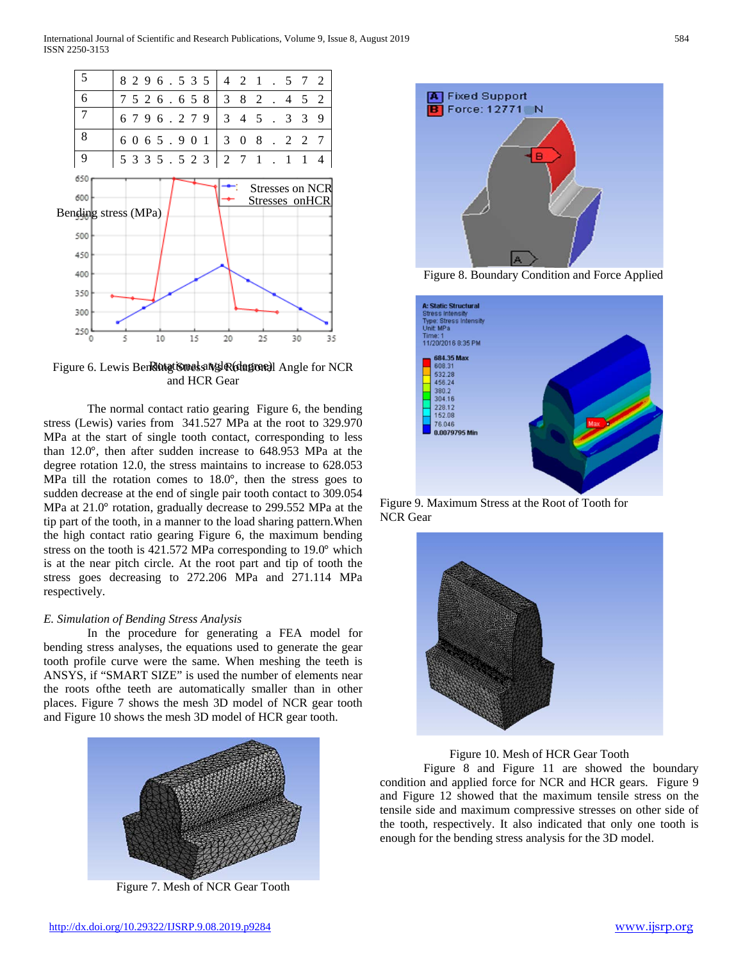

Figure 6. Lewis Ben**Rotat Stress Nsk Rotagroe)** Angle for NCR and HCR Gear

The normal contact ratio gearing Figure 6, the bending stress (Lewis) varies from 341.527 MPa at the root to 329.970 MPa at the start of single tooth contact, corresponding to less than 12.0°, then after sudden increase to 648.953 MPa at the degree rotation 12.0, the stress maintains to increase to 628.053 MPa till the rotation comes to 18.0°, then the stress goes to sudden decrease at the end of single pair tooth contact to 309.054 MPa at 21.0° rotation, gradually decrease to 299.552 MPa at the tip part of the tooth, in a manner to the load sharing pattern.When the high contact ratio gearing Figure 6, the maximum bending stress on the tooth is 421.572 MPa corresponding to 19.0° which is at the near pitch circle. At the root part and tip of tooth the stress goes decreasing to 272.206 MPa and 271.114 MPa respectively.

## *E. Simulation of Bending Stress Analysis*

In the procedure for generating a FEA model for bending stress analyses, the equations used to generate the gear tooth profile curve were the same. When meshing the teeth is ANSYS, if "SMART SIZE" is used the number of elements near the roots ofthe teeth are automatically smaller than in other places. Figure 7 shows the mesh 3D model of NCR gear tooth and Figure 10 shows the mesh 3D model of HCR gear tooth.



Figure 7. Mesh of NCR Gear Tooth



Figure 8. Boundary Condition and Force Applied



Figure 9. Maximum Stress at the Root of Tooth for NCR Gear



Figure 10. Mesh of HCR Gear Tooth

Figure 8 and Figure 11 are showed the boundary condition and applied force for NCR and HCR gears. Figure 9 and Figure 12 showed that the maximum tensile stress on the tensile side and maximum compressive stresses on other side of the tooth, respectively. It also indicated that only one tooth is enough for the bending stress analysis for the 3D model.